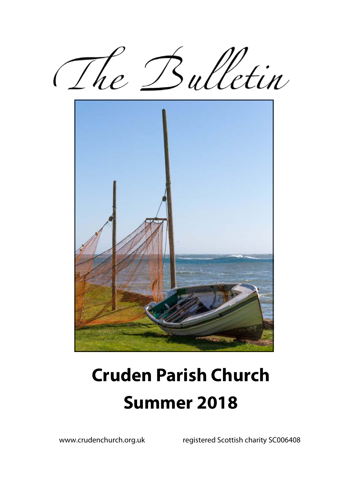The Bulletin



# **Cruden Parish Church Summer 2018**

www.crudenchurch.org.uk registered Scottish charity SC006408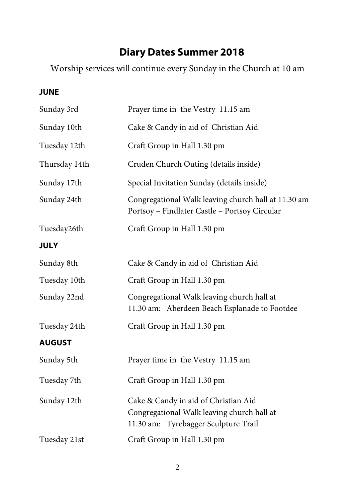# **Diary Dates Summer 2018**

Worship services will continue every Sunday in the Church at 10 am

### **JUNE**

| Sunday 3rd    | Prayer time in the Vestry 11.15 am                                                                                         |
|---------------|----------------------------------------------------------------------------------------------------------------------------|
| Sunday 10th   | Cake & Candy in aid of Christian Aid                                                                                       |
| Tuesday 12th  | Craft Group in Hall 1.30 pm                                                                                                |
| Thursday 14th | Cruden Church Outing (details inside)                                                                                      |
| Sunday 17th   | Special Invitation Sunday (details inside)                                                                                 |
| Sunday 24th   | Congregational Walk leaving church hall at 11.30 am<br>Portsoy - Findlater Castle - Portsoy Circular                       |
| Tuesday26th   | Craft Group in Hall 1.30 pm                                                                                                |
| <b>JULY</b>   |                                                                                                                            |
| Sunday 8th    | Cake & Candy in aid of Christian Aid                                                                                       |
| Tuesday 10th  | Craft Group in Hall 1.30 pm                                                                                                |
| Sunday 22nd   | Congregational Walk leaving church hall at<br>11.30 am: Aberdeen Beach Esplanade to Footdee                                |
| Tuesday 24th  | Craft Group in Hall 1.30 pm                                                                                                |
| <b>AUGUST</b> |                                                                                                                            |
| Sunday 5th    | Prayer time in the Vestry 11.15 am                                                                                         |
| Tuesday 7th   | Craft Group in Hall 1.30 pm                                                                                                |
| Sunday 12th   | Cake & Candy in aid of Christian Aid<br>Congregational Walk leaving church hall at<br>11.30 am: Tyrebagger Sculpture Trail |
| Tuesday 21st  | Craft Group in Hall 1.30 pm                                                                                                |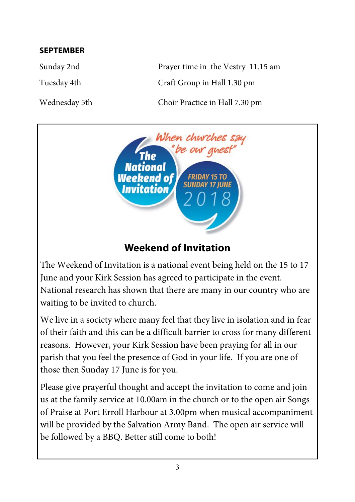#### **SEPTEMBER**

Sunday 2nd Prayer time in the Vestry 11.15 am Tuesday 4th Craft Group in Hall 1.30 pm

Wednesday 5th Choir Practice in Hall 7.30 pm



# **Weekend of Invitation**

The Weekend of Invitation is a national event being held on the 15 to 17 June and your Kirk Session has agreed to participate in the event. National research has shown that there are many in our country who are waiting to be invited to church.

We live in a society where many feel that they live in isolation and in fear of their faith and this can be a difficult barrier to cross for many different reasons. However, your Kirk Session have been praying for all in our parish that you feel the presence of God in your life. If you are one of those then Sunday 17 June is for you.

Please give prayerful thought and accept the invitation to come and join us at the family service at 10.00am in the church or to the open air Songs of Praise at Port Erroll Harbour at 3.00pm when musical accompaniment will be provided by the Salvation Army Band. The open air service will be followed by a BBQ. Better still come to both!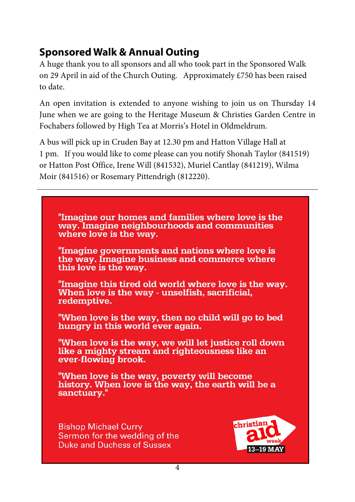# **Sponsored Walk & Annual Outing**

A huge thank you to all sponsors and all who took part in the Sponsored Walk on 29 April in aid of the Church Outing. Approximately £750 has been raised to date.

An open invitation is extended to anyone wishing to join us on Thursday 14 June when we are going to the Heritage Museum & Christies Garden Centre in Fochabers followed by High Tea at Morris's Hotel in Oldmeldrum.

A bus will pick up in Cruden Bay at 12.30 pm and Hatton Village Hall at 1 pm. If you would like to come please can you notify Shonah Taylor (841519) or Hatton Post Office, Irene Will (841532), Muriel Cantlay (841219), Wilma Moir (841516) or Rosemary Pittendrigh (812220).

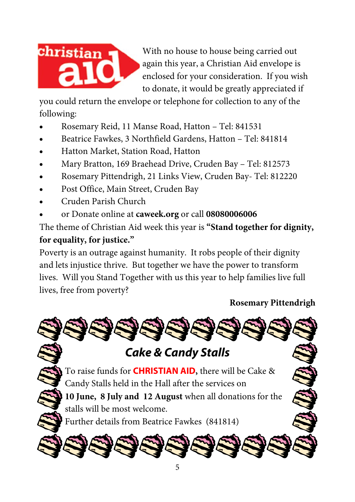

With no house to house being carried out again this year, a Christian Aid envelope is enclosed for your consideration. If you wish to donate, it would be greatly appreciated if

you could return the envelope or telephone for collection to any of the following:

- Rosemary Reid, 11 Manse Road, Hatton Tel: 841531
- Beatrice Fawkes, 3 Northfield Gardens, Hatton Tel: 841814
- Hatton Market, Station Road, Hatton
- Mary Bratton, 169 Braehead Drive, Cruden Bay Tel: 812573
- Rosemary Pittendrigh, 21 Links View, Cruden Bay- Tel: 812220
- Post Office, Main Street, Cruden Bay
- Cruden Parish Church
- or Donate online at **caweek.org** or call **08080006006**

The theme of Christian Aid week this year is **"Stand together for dignity, for equality, for justice."** 

Poverty is an outrage against humanity. It robs people of their dignity and lets injustice thrive. But together we have the power to transform lives. Will you Stand Together with us this year to help families live full lives, free from poverty?

## **Rosemary Pittendrigh**

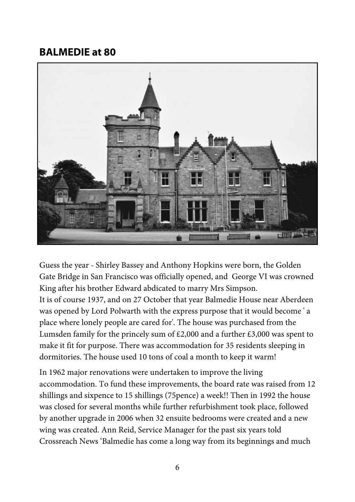## **BALMEDIE at 80**



Guess the year - Shirley Bassey and Anthony Hopkins were born, the Golden Gate Bridge in San Francisco was officially opened, and George VI was crowned King after his brother Edward abdicated to marry Mrs Simpson.

It is of course 1937, and on 27 October that year Balmedie House near Aberdeen was opened by Lord Polwarth with the express purpose that it would become ' a place where lonely people are cared for'. The house was purchased from the Lumsden family for the princely sum of £2,000 and a further £3,000 was spent to make it fit for purpose. There was accommodation for 35 residents sleeping in dormitories. The house used 10 tons of coal a month to keep it warm!

In 1962 major renovations were undertaken to improve the living accommodation. To fund these improvements, the board rate was raised from 12 shillings and sixpence to 15 shillings (75pence) a week!! Then in 1992 the house was closed for several months while further refurbishment took place, followed by another upgrade in 2006 when 32 ensuite bedrooms were created and a new wing was created. Ann Reid, Service Manager for the past six years told Crossreach News 'Balmedie has come a long way from its beginnings and much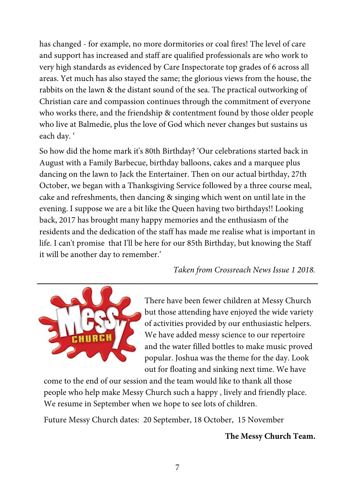has changed - for example, no more dormitories or coal fires! The level of care and support has increased and staff are qualified professionals are who work to very high standards as evidenced by Care Inspectorate top grades of 6 across all areas. Yet much has also stayed the same; the glorious views from the house, the rabbits on the lawn & the distant sound of the sea. The practical outworking of Christian care and compassion continues through the commitment of everyone who works there, and the friendship & contentment found by those older people who live at Balmedie, plus the love of God which never changes but sustains us each day. '

So how did the home mark it's 80th Birthday? 'Our celebrations started back in August with a Family Barbecue, birthday balloons, cakes and a marquee plus dancing on the lawn to Jack the Entertainer. Then on our actual birthday, 27th October, we began with a Thanksgiving Service followed by a three course meal, cake and refreshments, then dancing & singing which went on until late in the evening. I suppose we are a bit like the Queen having two birthdays!! Looking back, 2017 has brought many happy memories and the enthusiasm of the residents and the dedication of the staff has made me realise what is important in life. I can't promise that I'll be here for our 85th Birthday, but knowing the Staff it will be another day to remember.'

*Taken from Crossreach News Issue 1 2018.* 



There have been fewer children at Messy Church but those attending have enjoyed the wide variety of activities provided by our enthusiastic helpers. We have added messy science to our repertoire and the water filled bottles to make music proved popular. Joshua was the theme for the day. Look out for floating and sinking next time. We have

come to the end of our session and the team would like to thank all those people who help make Messy Church such a happy , lively and friendly place. We resume in September when we hope to see lots of children.

Future Messy Church dates: 20 September, 18 October, 15 November

**The Messy Church Team.**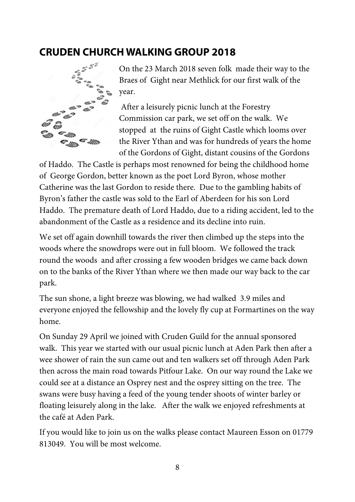## **CRUDEN CHURCH WALKING GROUP 2018**



On the 23 March 2018 seven folk made their way to the Braes of Gight near Methlick for our first walk of the year.

 After a leisurely picnic lunch at the Forestry Commission car park, we set off on the walk. We stopped at the ruins of Gight Castle which looms over the River Ythan and was for hundreds of years the home of the Gordons of Gight, distant cousins of the Gordons

of Haddo. The Castle is perhaps most renowned for being the childhood home of George Gordon, better known as the poet Lord Byron, whose mother Catherine was the last Gordon to reside there. Due to the gambling habits of Byron's father the castle was sold to the Earl of Aberdeen for his son Lord Haddo. The premature death of Lord Haddo, due to a riding accident, led to the abandonment of the Castle as a residence and its decline into ruin.

We set off again downhill towards the river then climbed up the steps into the woods where the snowdrops were out in full bloom. We followed the track round the woods and after crossing a few wooden bridges we came back down on to the banks of the River Ythan where we then made our way back to the car park.

The sun shone, a light breeze was blowing, we had walked 3.9 miles and everyone enjoyed the fellowship and the lovely fly cup at Formartines on the way home.

On Sunday 29 April we joined with Cruden Guild for the annual sponsored walk. This year we started with our usual picnic lunch at Aden Park then after a wee shower of rain the sun came out and ten walkers set off through Aden Park then across the main road towards Pitfour Lake. On our way round the Lake we could see at a distance an Osprey nest and the osprey sitting on the tree. The swans were busy having a feed of the young tender shoots of winter barley or floating leisurely along in the lake. After the walk we enjoyed refreshments at the café at Aden Park.

If you would like to join us on the walks please contact Maureen Esson on 01779 813049. You will be most welcome.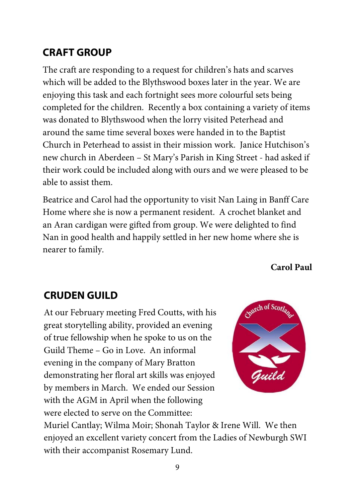# **CRAFT GROUP**

The craft are responding to a request for children's hats and scarves which will be added to the Blythswood boxes later in the year. We are enjoying this task and each fortnight sees more colourful sets being completed for the children. Recently a box containing a variety of items was donated to Blythswood when the lorry visited Peterhead and around the same time several boxes were handed in to the Baptist Church in Peterhead to assist in their mission work. Janice Hutchison's new church in Aberdeen – St Mary's Parish in King Street - had asked if their work could be included along with ours and we were pleased to be able to assist them.

Beatrice and Carol had the opportunity to visit Nan Laing in Banff Care Home where she is now a permanent resident. A crochet blanket and an Aran cardigan were gifted from group. We were delighted to find Nan in good health and happily settled in her new home where she is nearer to family.

**Carol Paul** 

# **CRUDEN GUILD**

At our February meeting Fred Coutts, with his great storytelling ability, provided an evening of true fellowship when he spoke to us on the Guild Theme – Go in Love. An informal evening in the company of Mary Bratton demonstrating her floral art skills was enjoyed by members in March. We ended our Session with the AGM in April when the following were elected to serve on the Committee:



Muriel Cantlay; Wilma Moir; Shonah Taylor & Irene Will. We then enjoyed an excellent variety concert from the Ladies of Newburgh SWI with their accompanist Rosemary Lund.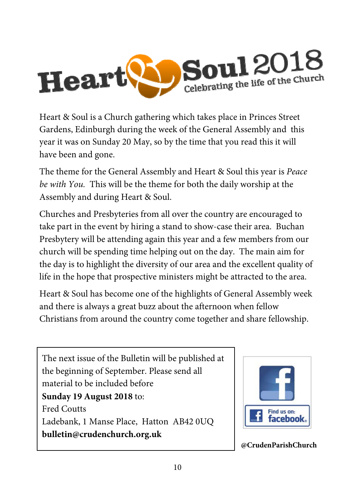

Heart & Soul is a Church gathering which takes place in Princes Street Gardens, Edinburgh during the week of the General Assembly and this year it was on Sunday 20 May, so by the time that you read this it will have been and gone.

The theme for the General Assembly and Heart & Soul this year is *Peace be with You.* This will be the theme for both the daily worship at the Assembly and during Heart & Soul.

Churches and Presbyteries from all over the country are encouraged to take part in the event by hiring a stand to show-case their area. Buchan Presbytery will be attending again this year and a few members from our church will be spending time helping out on the day. The main aim for the day is to highlight the diversity of our area and the excellent quality of life in the hope that prospective ministers might be attracted to the area.

Heart & Soul has become one of the highlights of General Assembly week and there is always a great buzz about the afternoon when fellow Christians from around the country come together and share fellowship.

The next issue of the Bulletin will be published at the beginning of September. Please send all material to be included before **Sunday 19 August 2018** to: Fred Coutts Ladebank, 1 Manse Place, Hatton AB42 0UQ **bulletin@crudenchurch.org.uk**



**@CrudenParishChurch**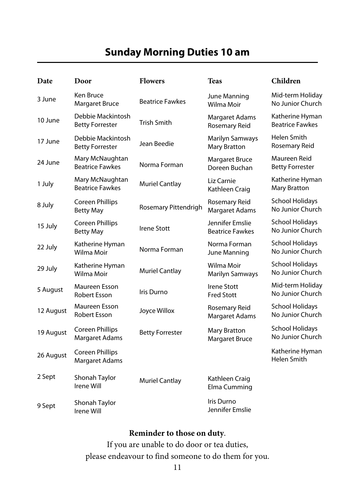## **Sunday Morning Duties 10 am**

| Date      | Door                                        | <b>Flowers</b>         | <b>Teas</b>                                   | Children                                   |
|-----------|---------------------------------------------|------------------------|-----------------------------------------------|--------------------------------------------|
| 3 June    | Ken Bruce<br><b>Margaret Bruce</b>          | <b>Beatrice Fawkes</b> | June Manning<br>Wilma Moir                    | Mid-term Holiday<br>No Junior Church       |
| 10 June   | Debbie Mackintosh<br><b>Betty Forrester</b> | <b>Trish Smith</b>     | Margaret Adams<br>Rosemary Reid               | Katherine Hyman<br><b>Beatrice Fawkes</b>  |
| 17 June   | Debbie Mackintosh<br><b>Betty Forrester</b> | Jean Beedie            | <b>Marilyn Samways</b><br><b>Mary Bratton</b> | Helen Smith<br>Rosemary Reid               |
| 24 June   | Mary McNaughtan<br><b>Beatrice Fawkes</b>   | Norma Forman           | <b>Margaret Bruce</b><br>Doreen Buchan        | Maureen Reid<br><b>Betty Forrester</b>     |
| 1 July    | Mary McNaughtan<br><b>Beatrice Fawkes</b>   | <b>Muriel Cantlay</b>  | Liz Carnie<br>Kathleen Craig                  | Katherine Hyman<br><b>Mary Bratton</b>     |
| 8 July    | Coreen Phillips<br><b>Betty May</b>         | Rosemary Pittendrigh   | Rosemary Reid<br><b>Margaret Adams</b>        | <b>School Holidays</b><br>No Junior Church |
| 15 July   | <b>Coreen Phillips</b><br><b>Betty May</b>  | <b>Irene Stott</b>     | Jennifer Emslie<br><b>Beatrice Fawkes</b>     | <b>School Holidays</b><br>No Junior Church |
| 22 July   | Katherine Hyman<br>Wilma Moir               | Norma Forman           | Norma Forman<br>June Manning                  | <b>School Holidays</b><br>No Junior Church |
| 29 July   | Katherine Hyman<br>Wilma Moir               | <b>Muriel Cantlay</b>  | Wilma Moir<br>Marilyn Samways                 | <b>School Holidays</b><br>No Junior Church |
| 5 August  | Maureen Esson<br><b>Robert Esson</b>        | Iris Durno             | Irene Stott<br><b>Fred Stott</b>              | Mid-term Holiday<br>No Junior Church       |
| 12 August | Maureen Esson<br><b>Robert Esson</b>        | Joyce Willox           | Rosemary Reid<br><b>Margaret Adams</b>        | <b>School Holidays</b><br>No Junior Church |
| 19 August | Coreen Phillips<br>Margaret Adams           | <b>Betty Forrester</b> | <b>Mary Bratton</b><br><b>Margaret Bruce</b>  | <b>School Holidays</b><br>No Junior Church |
| 26 August | Coreen Phillips<br>Margaret Adams           |                        |                                               | Katherine Hyman<br>Helen Smith             |
| 2 Sept    | Shonah Taylor<br>Irene Will                 | <b>Muriel Cantlay</b>  | Kathleen Craig<br>Elma Cumming                |                                            |
| 9 Sept    | Shonah Taylor<br>Irene Will                 |                        | Iris Durno<br>Jennifer Emslie                 |                                            |

#### **Reminder to those on duty**.

If you are unable to do door or tea duties, please endeavour to find someone to do them for you.